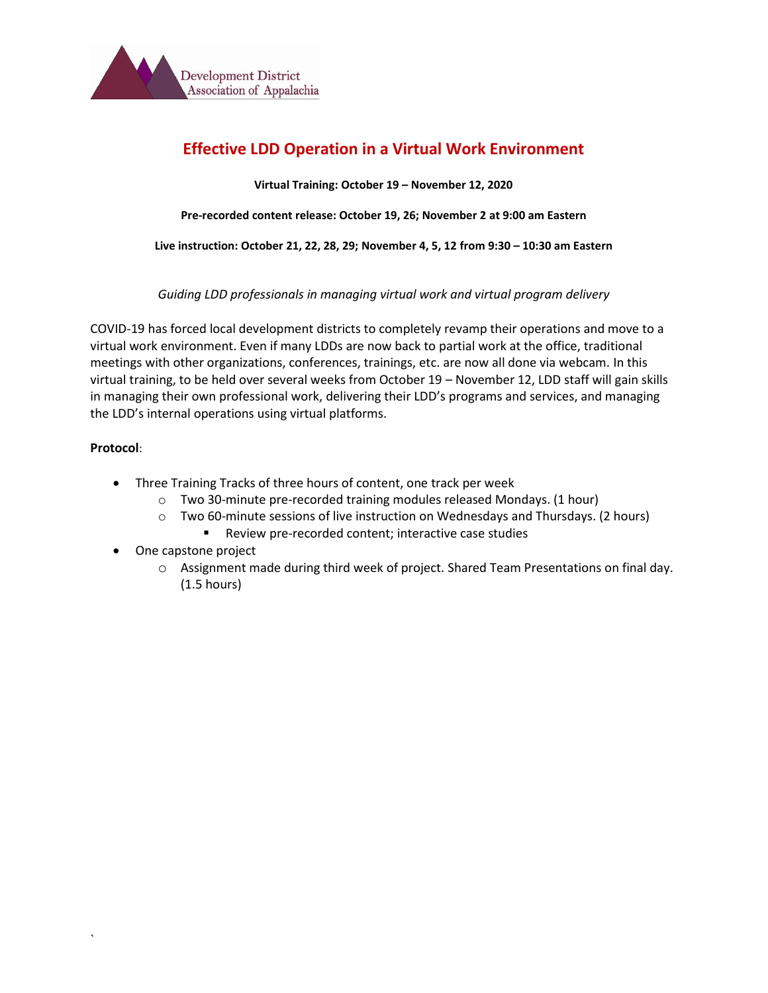

# **Effective LDD Operation in a Virtual Work Environment**

**Virtual Training: October 19 – November 12, 2020**

**Pre-recorded content release: October 19, 26; November 2 at 9:00 am Eastern**

**Live instruction: October 21, 22, 28, 29; November 4, 5, 12 from 9:30 – 10:30 am Eastern**

*Guiding LDD professionals in managing virtual work and virtual program delivery*

COVID-19 has forced local development districts to completely revamp their operations and move to a virtual work environment. Even if many LDDs are now back to partial work at the office, traditional meetings with other organizations, conferences, trainings, etc. are now all done via webcam. In this virtual training, to be held over several weeks from October 19 – November 12, LDD staff will gain skills in managing their own professional work, delivering their LDD's programs and services, and managing the LDD's internal operations using virtual platforms.

# **Protocol**:

`

- Three Training Tracks of three hours of content, one track per week
	- o Two 30-minute pre-recorded training modules released Mondays. (1 hour)
	- o Two 60-minute sessions of live instruction on Wednesdays and Thursdays. (2 hours)
		- Review pre-recorded content; interactive case studies
- One capstone project
	- o Assignment made during third week of project. Shared Team Presentations on final day. (1.5 hours)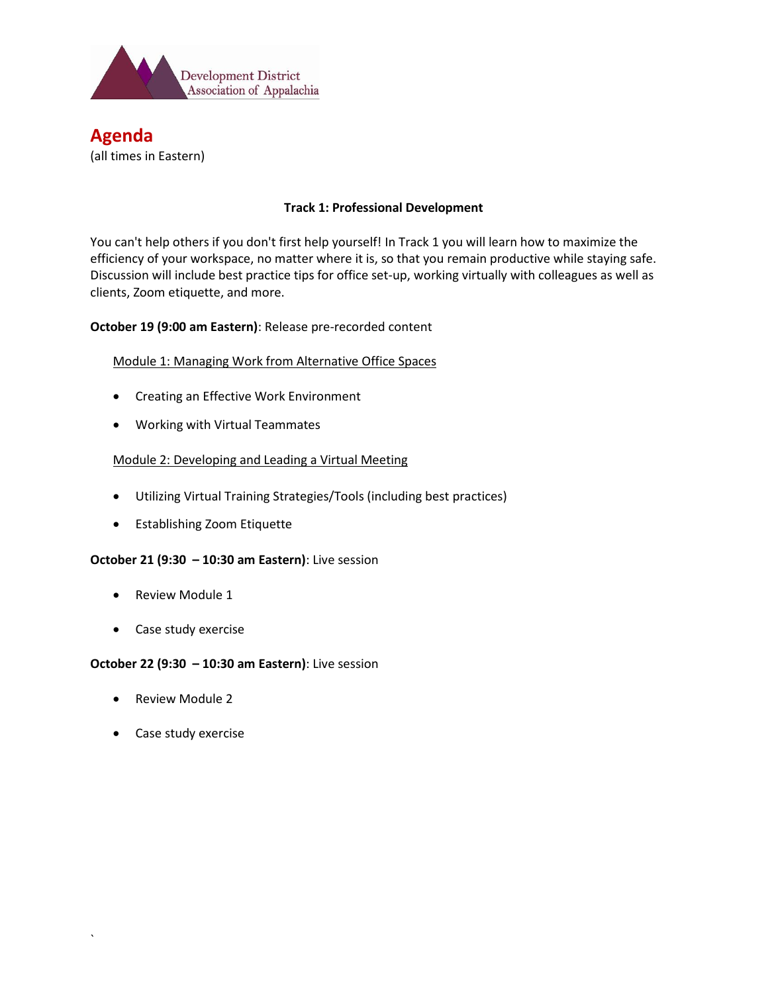

# **Agenda** (all times in Eastern)

# **Track 1: Professional Development**

You can't help others if you don't first help yourself! In Track 1 you will learn how to maximize the efficiency of your workspace, no matter where it is, so that you remain productive while staying safe. Discussion will include best practice tips for office set-up, working virtually with colleagues as well as clients, Zoom etiquette, and more.

# **October 19 (9:00 am Eastern)**: Release pre-recorded content

Module 1: Managing Work from Alternative Office Spaces

- Creating an Effective Work Environment
- Working with Virtual Teammates

#### Module 2: Developing and Leading a Virtual Meeting

- Utilizing Virtual Training Strategies/Tools (including best practices)
- Establishing Zoom Etiquette

#### **October 21 (9:30 – 10:30 am Eastern)**: Live session

- Review Module 1
- Case study exercise

#### **October 22 (9:30 – 10:30 am Eastern)**: Live session

- Review Module 2
- Case study exercise

`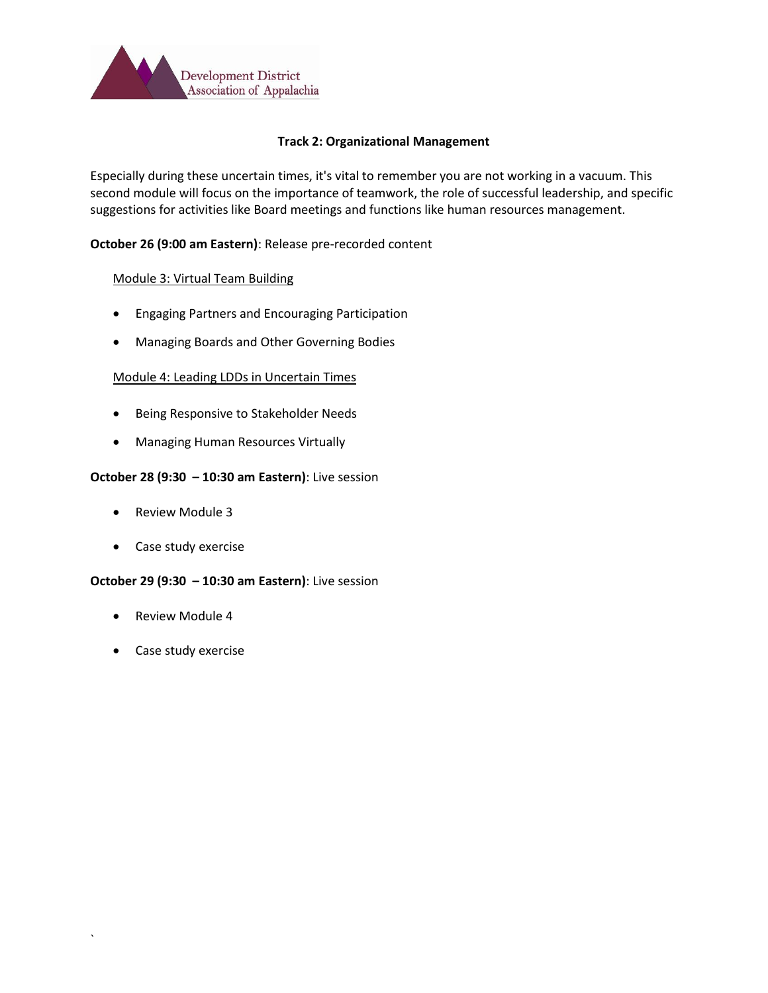

# **Track 2: Organizational Management**

Especially during these uncertain times, it's vital to remember you are not working in a vacuum. This second module will focus on the importance of teamwork, the role of successful leadership, and specific suggestions for activities like Board meetings and functions like human resources management.

# **October 26 (9:00 am Eastern)**: Release pre-recorded content

# Module 3: Virtual Team Building

- Engaging Partners and Encouraging Participation
- Managing Boards and Other Governing Bodies

# Module 4: Leading LDDs in Uncertain Times

- Being Responsive to Stakeholder Needs
- Managing Human Resources Virtually

#### **October 28 (9:30 – 10:30 am Eastern)**: Live session

- Review Module 3
- Case study exercise

#### **October 29 (9:30 – 10:30 am Eastern)**: Live session

- Review Module 4
- Case study exercise

`